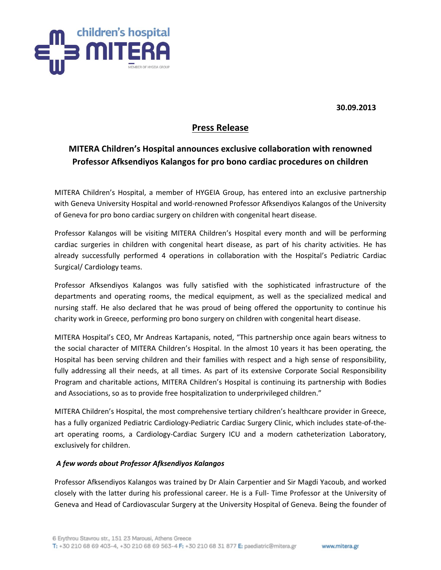

**30.09.2013**

## **Press Release**

## **MITERA Children's Hospital announces exclusive collaboration with renowned Professor Afksendiyos Kalangos for pro bono cardiac procedures on children**

MITERA Children's Hospital, a member of HYGEIA Group, has entered into an exclusive partnership with Geneva University Hospital and world-renowned Professor Afksendiyos Kalangos of the University of Geneva for pro bono cardiac surgery on children with congenital heart disease.

Professor Kalangos will be visiting MITERA Children's Hospital every month and will be performing cardiac surgeries in children with congenital heart disease, as part of his charity activities. He has already successfully performed 4 operations in collaboration with the Hospital's Pediatric Cardiac Surgical/ Cardiology teams.

Professor Afksendiyos Kalangos was fully satisfied with the sophisticated infrastructure of the departments and operating rooms, the medical equipment, as well as the specialized medical and nursing staff. He also declared that he was proud of being offered the opportunity to continue his charity work in Greece, performing pro bono surgery on children with congenital heart disease.

MITERA Hospital's CEO, Mr Andreas Kartapanis, noted, "This partnership once again bears witness to the social character of MITERA Children's Hospital. In the almost 10 years it has been operating, the Hospital has been serving children and their families with respect and a high sense of responsibility, fully addressing all their needs, at all times. As part of its extensive Corporate Social Responsibility Program and charitable actions, MITERA Children's Hospital is continuing its partnership with Bodies and Associations, so as to provide free hospitalization to underprivileged children."

MITERA Children's Hospital, the most comprehensive tertiary children's healthcare provider in Greece, has a fully organized Pediatric Cardiology-Pediatric Cardiac Surgery Clinic, which includes state-of-theart operating rooms, a Cardiology-Cardiac Surgery ICU and a modern catheterization Laboratory, exclusively for children.

## *A few words about Professor Afksendiyos Kalangos*

Professor Afksendiyos Kalangos was trained by Dr Alain Carpentier and Sir Magdi Yacoub, and worked closely with the latter during his professional career. He is a Full- Time Professor at the University of Geneva and Head of Cardiovascular Surgery at the University Hospital of Geneva. Being the founder of